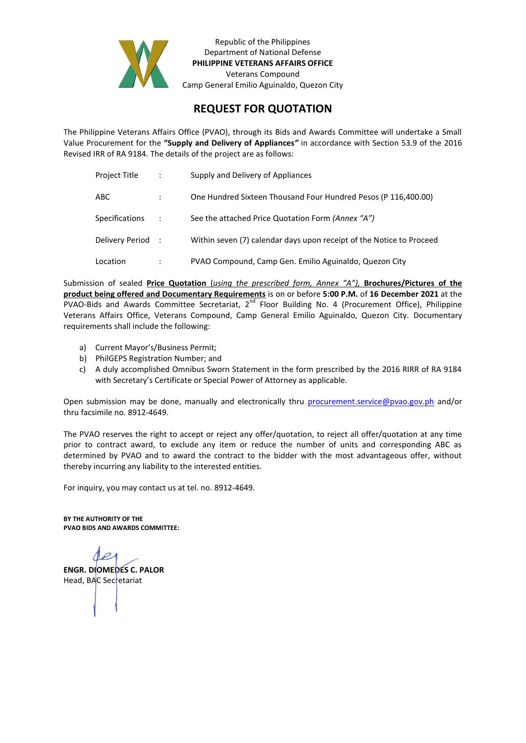

Republic of the Philippines Department of National Defense **PHILIPPINE VETERANS AFFAIRS OFFICE** Veterans Compound Camp General Emilio Aguinaldo, Quezon City

## **REQUEST FOR QUOTATION**

The Philippine Veterans Affairs Office (PVAO), through its Bids and Awards Committee will undertake a Small Value Procurement for the **"Supply and Delivery of Appliances***"* in accordance with Section 53.9 of the 2016 Revised IRR of RA 9184. The details of the project are as follows:

| Project Title         | $\ddot{\cdot}$ | Supply and Delivery of Appliances                                    |
|-----------------------|----------------|----------------------------------------------------------------------|
| ABC                   |                | One Hundred Sixteen Thousand Four Hundred Pesos (P 116,400.00)       |
| <b>Specifications</b> |                | See the attached Price Quotation Form (Annex "A")                    |
| Delivery Period :     |                | Within seven (7) calendar days upon receipt of the Notice to Proceed |
| Location              |                | PVAO Compound, Camp Gen. Emilio Aguinaldo, Quezon City               |

Submission of sealed **Price Quotation** (*using the prescribed form, Annex "A"),* **Brochures/Pictures of the product being offered and Documentary Requirements** is on or before **5:00 P.M.** of **16 December 2021** at the PVAO-Bids and Awards Committee Secretariat,  $2^{nd}$  Floor Building No. 4 (Procurement Office), Philippine Veterans Affairs Office, Veterans Compound, Camp General Emilio Aguinaldo, Quezon City. Documentary requirements shall include the following:

- a) Current Mayor's/Business Permit;
- b) PhilGEPS Registration Number; and
- c) A duly accomplished Omnibus Sworn Statement in the form prescribed by the 2016 RIRR of RA 9184 with Secretary's Certificate or Special Power of Attorney as applicable.

Open submission may be done, manually and electronically thru [procurement.service@pvao.gov.ph](mailto:procurement.service@pvao.gov.phyahoo.com) and/or thru facsimile no. 8912-4649.

The PVAO reserves the right to accept or reject any offer/quotation, to reject all offer/quotation at any time prior to contract award, to exclude any item or reduce the number of units and corresponding ABC as determined by PVAO and to award the contract to the bidder with the most advantageous offer, without thereby incurring any liability to the interested entities.

For inquiry, you may contact us at tel. no. 8912-4649.

**BY THE AUTHORITY OF THE PVAO BIDS AND AWARDS COMMITTEE:**

**ENGR. DIOMEDES C. PALOR** Head, BAC Secretariat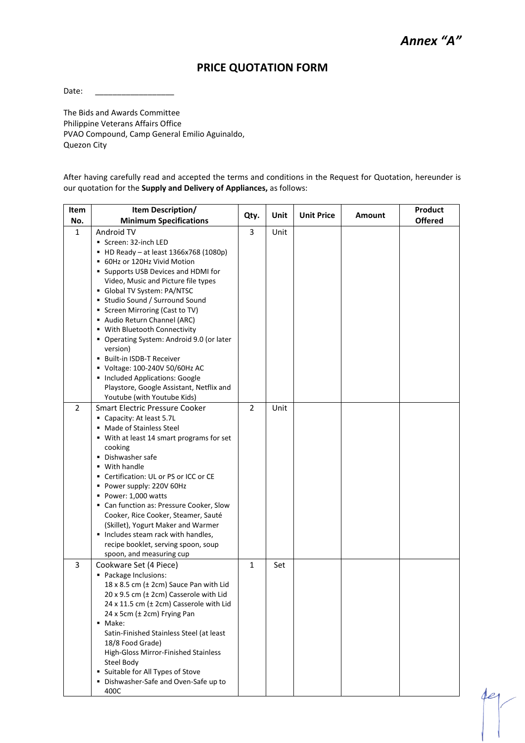der

## **PRICE QUOTATION FORM**

Date:

The Bids and Awards Committee Philippine Veterans Affairs Office PVAO Compound, Camp General Emilio Aguinaldo, Quezon City

After having carefully read and accepted the terms and conditions in the Request for Quotation, hereunder is our quotation for the **Supply and Delivery of Appliances,** as follows:

| Item<br>No.    | Item Description/<br><b>Minimum Specifications</b>                                                                                                                                                                                                                                                                                                                                                                                                                                                                                                                                           | Qty.           | Unit | <b>Unit Price</b> | Amount | Product<br><b>Offered</b> |
|----------------|----------------------------------------------------------------------------------------------------------------------------------------------------------------------------------------------------------------------------------------------------------------------------------------------------------------------------------------------------------------------------------------------------------------------------------------------------------------------------------------------------------------------------------------------------------------------------------------------|----------------|------|-------------------|--------|---------------------------|
| $\mathbf{1}$   | Android TV<br>Screen: 32-inch LED<br>• HD Ready - at least 1366x768 (1080p)<br>■ 60Hz or 120Hz Vivid Motion<br>• Supports USB Devices and HDMI for<br>Video, Music and Picture file types<br>Global TV System: PA/NTSC<br>■ Studio Sound / Surround Sound<br>Screen Mirroring (Cast to TV)<br>Audio Return Channel (ARC)<br>■ With Bluetooth Connectivity<br>• Operating System: Android 9.0 (or later<br>version)<br>■ Built-in ISDB-T Receiver<br>Voltage: 100-240V 50/60Hz AC<br>Included Applications: Google<br>Playstore, Google Assistant, Netflix and<br>Youtube (with Youtube Kids) | 3              | Unit |                   |        |                           |
| $\overline{2}$ | <b>Smart Electric Pressure Cooker</b><br>Capacity: At least 5.7L<br>• Made of Stainless Steel<br>■ With at least 14 smart programs for set<br>cooking<br>• Dishwasher safe<br>• With handle<br>Certification: UL or PS or ICC or CE<br>٠<br>Power supply: 220V 60Hz<br>Power: 1,000 watts<br>• Can function as: Pressure Cooker, Slow<br>Cooker, Rice Cooker, Steamer, Sauté<br>(Skillet), Yogurt Maker and Warmer<br>Includes steam rack with handles,<br>recipe booklet, serving spoon, soup<br>spoon, and measuring cup                                                                   | $\overline{2}$ | Unit |                   |        |                           |
| 3              | Cookware Set (4 Piece)<br>Package Inclusions:<br>18 x 8.5 cm (± 2cm) Sauce Pan with Lid<br>20 x 9.5 cm (± 2cm) Casserole with Lid<br>24 x 11.5 cm (± 2cm) Casserole with Lid<br>24 x 5cm (± 2cm) Frying Pan<br>• Make:<br>Satin-Finished Stainless Steel (at least<br>18/8 Food Grade)<br>High-Gloss Mirror-Finished Stainless<br>Steel Body<br>Suitable for All Types of Stove<br>٠<br>· Dishwasher-Safe and Oven-Safe up to<br>400C                                                                                                                                                        | 1              | Set  |                   |        |                           |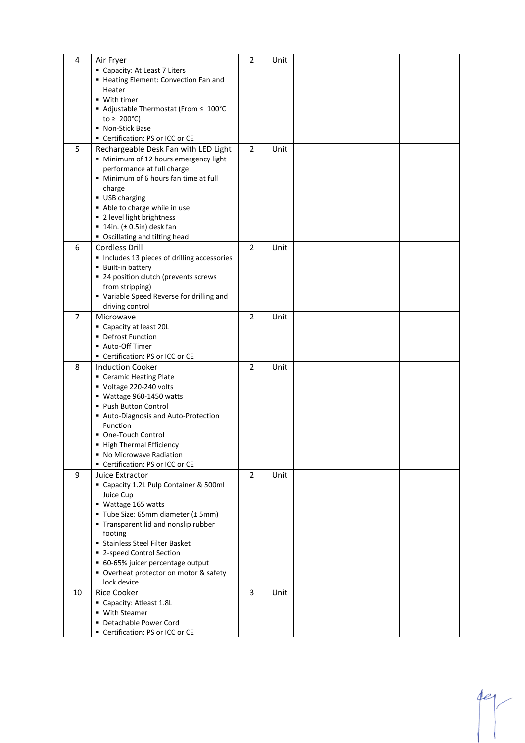| 4              | Air Fryer                                             | 2              | Unit |  |  |
|----------------|-------------------------------------------------------|----------------|------|--|--|
|                | Capacity: At Least 7 Liters                           |                |      |  |  |
|                | - Heating Element: Convection Fan and                 |                |      |  |  |
|                | Heater                                                |                |      |  |  |
|                | ■ With timer                                          |                |      |  |  |
|                | ■ Adjustable Thermostat (From ≤ 100°C                 |                |      |  |  |
|                | to $\geq 200^{\circ}$ C)                              |                |      |  |  |
|                | • Non-Stick Base                                      |                |      |  |  |
|                | Certification: PS or ICC or CE                        |                |      |  |  |
| 5              | Rechargeable Desk Fan with LED Light                  | $\overline{2}$ | Unit |  |  |
|                | • Minimum of 12 hours emergency light                 |                |      |  |  |
|                | performance at full charge                            |                |      |  |  |
|                | • Minimum of 6 hours fan time at full                 |                |      |  |  |
|                | charge                                                |                |      |  |  |
|                | ■ USB charging                                        |                |      |  |  |
|                | Able to charge while in use                           |                |      |  |  |
|                | ■ 2 level light brightness                            |                |      |  |  |
|                | $\blacksquare$ 14in. ( $\pm$ 0.5in) desk fan          |                |      |  |  |
|                | • Oscillating and tilting head                        |                |      |  |  |
| 6              | <b>Cordless Drill</b>                                 | 2              | Unit |  |  |
|                | · Includes 13 pieces of drilling accessories          |                |      |  |  |
|                | <b>Built-in battery</b>                               |                |      |  |  |
|                | • 24 position clutch (prevents screws                 |                |      |  |  |
|                | from stripping)                                       |                |      |  |  |
|                | • Variable Speed Reverse for drilling and             |                |      |  |  |
|                | driving control                                       |                |      |  |  |
| $\overline{7}$ | Microwave                                             | $\overline{2}$ | Unit |  |  |
|                | Capacity at least 20L                                 |                |      |  |  |
|                | • Defrost Function                                    |                |      |  |  |
|                | ■ Auto-Off Timer                                      |                |      |  |  |
|                | Certification: PS or ICC or CE                        |                |      |  |  |
| 8              | <b>Induction Cooker</b>                               | $\overline{2}$ | Unit |  |  |
|                | • Ceramic Heating Plate                               |                |      |  |  |
|                | Voltage 220-240 volts                                 |                |      |  |  |
|                | ■ Wattage 960-1450 watts                              |                |      |  |  |
|                | ■ Push Button Control                                 |                |      |  |  |
|                | Auto-Diagnosis and Auto-Protection                    |                |      |  |  |
|                | Function                                              |                |      |  |  |
|                | One-Touch Control                                     |                |      |  |  |
|                | ■ High Thermal Efficiency<br>• No Microwave Radiation |                |      |  |  |
|                | Certification: PS or ICC or CE                        |                |      |  |  |
| 9              | Juice Extractor                                       | $\overline{2}$ | Unit |  |  |
|                | " Capacity 1.2L Pulp Container & 500ml                |                |      |  |  |
|                | Juice Cup                                             |                |      |  |  |
|                | ■ Wattage 165 watts                                   |                |      |  |  |
|                | ■ Tube Size: 65mm diameter (± 5mm)                    |                |      |  |  |
|                | ■ Transparent lid and nonslip rubber                  |                |      |  |  |
|                | footing                                               |                |      |  |  |
|                | <b>Stainless Steel Filter Basket</b>                  |                |      |  |  |
|                | ■ 2-speed Control Section                             |                |      |  |  |
|                | • 60-65% juicer percentage output                     |                |      |  |  |
|                | • Overheat protector on motor & safety                |                |      |  |  |
|                | lock device                                           |                |      |  |  |
| 10             | <b>Rice Cooker</b>                                    | 3              | Unit |  |  |
|                | Capacity: Atleast 1.8L                                |                |      |  |  |
|                | ■ With Steamer                                        |                |      |  |  |
|                | • Detachable Power Cord                               |                |      |  |  |
|                | Certification: PS or ICC or CE                        |                |      |  |  |

 $4e$